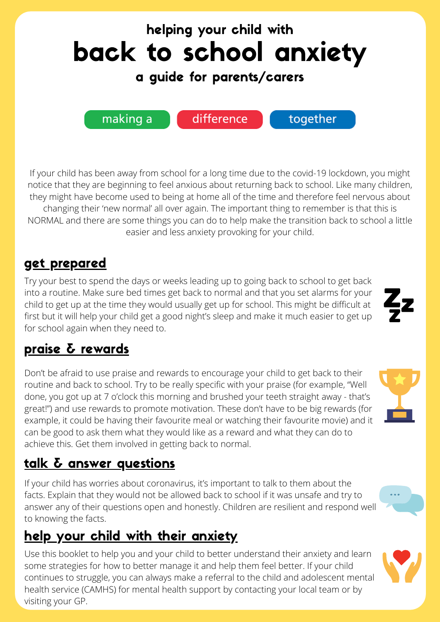

If your child has been away from school for a long time due to the covid-19 lockdown, you might notice that they are beginning to feel anxious about returning back to school. Like many children, they might have become used to being at home all of the time and therefore feel nervous about changing their 'new normal' all over again. The important thing to remember is that this is NORMAL and there are some things you can do to help make the transition back to school a little easier and less anxiety provoking for your child.

# get prepared

Try your best to spend the days or weeks leading up to going back to school to get back into a routine. Make sure bed times get back to normal and that you set alarms for your child to get up at the time they would usually get up for school. This might be difficult at first but it will help your child get a good night's sleep and make it much easier to get up for school again when they need to.

# praise & rewards

Don't be afraid to use praise and rewards to encourage your child to get back to their routine and back to school. Try to be really specific with your praise (for example, "Well done, you got up at 7 o'clock this morning and brushed your teeth straight away - that's great!") and use rewards to promote motivation. These don't have to be big rewards (for example, it could be having their favourite meal or watching their favourite movie) and it can be good to ask them what they would like as a reward and what they can do to achieve this. Get them involved in getting back to normal.

# talk & answer questions

If your child has worries about coronavirus, it's important to talk to them about the facts. Explain that they would not be allowed back to school if it was unsafe and try to answer any of their questions open and honestly. Children are resilient and respond well to knowing the facts.

# help your child with their anxiety

Use this booklet to help you and your child to better understand their anxiety and learn some strategies for how to better manage it and help them feel better. If your child continues to struggle, you can always make a referral to the child and adolescent mental health service (CAMHS) for mental health support by contacting your local team or by visiting your GP.



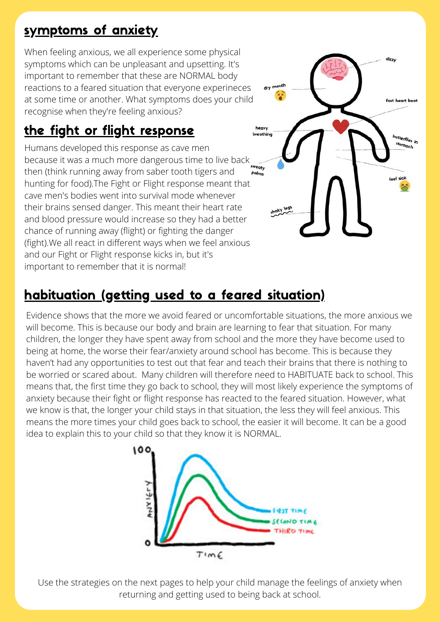# symptoms of anxiety

When feeling anxious, we all experience some physical symptoms which can be unpleasant and upsetting. It's important to remember that these are NORMAL body reactions to a feared situation that everyone experineces at some time or another. What symptoms does your child recognise when they're feeling anxious?

# the fight or flight response

Humans developed this response as cave men because it was a much more dangerous time to live back **Weaty** then (think running away from saber tooth tigers and hunting for food).The Fight or Flight response meant that cave men's bodies went into survival mode whenever their brains sensed danger. This meant their heart rate and blood pressure would increase so they had a better chance of running away (flight) or fighting the danger (fight).We all react in different ways when we feel anxious and our Fight or Flight response kicks in, but it's important to remember that it is normal!

# habituation (getting used to a feared situation)

Evidence shows that the more we avoid feared or uncomfortable situations, the more anxious we will become. This is because our body and brain are learning to fear that situation. For many children, the longer they have spent away from school and the more they have become used to being at home, the worse their fear/anxiety around school has become. This is because they haven't had any opportunities to test out that fear and teach their brains that there is nothing to be worried or scared about. Many children will therefore need to HABITUATE back to school. This means that, the first time they go back to school, they will most likely experience the symptoms of anxiety because their fight or flight response has reacted to the feared situation. However, what we know is that, the longer your child stays in that situation, the less they will feel anxious. This means the more times your child goes back to school, the easier it will become. It can be a good idea to explain this to your child so that they know it is NORMAL.

fast heart beat

utterflies in



Use the strategies on the next pages to help your child manage the feelings of anxiety when returning and getting used to being back at school.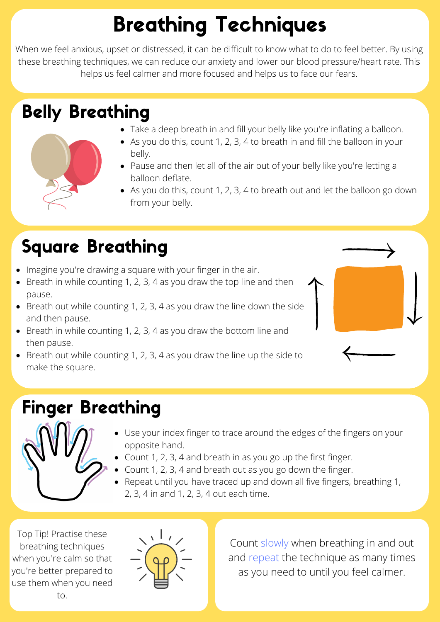# Breathing Techniques

When we feel anxious, upset or distressed, it can be difficult to know what to do to feel better. By using these breathing techniques, we can reduce our anxiety and lower our blood pressure/heart rate. This helps us feel calmer and more focused and helps us to face our fears.

# Belly Breathing

- Take a deep breath in and fill your belly like you're inflating a balloon.
- As you do this, count 1, 2, 3, 4 to breath in and fill the balloon in your
	- belly. • Pause and then let all of the air out of your belly like you're letting a balloon deflate.
	- As you do this, count 1, 2, 3, 4 to breath out and let the balloon go down from your belly.

# Square Breathing

- Imagine you're drawing a square with your finger in the air.
- $\bullet$  Breath in while counting 1, 2, 3, 4 as you draw the top line and then pause.
- $\bullet$  Breath out while counting 1, 2, 3, 4 as you draw the line down the side and then pause.
- Breath in while counting 1, 2, 3, 4 as you draw the bottom line and then pause.
- $\bullet$  Breath out while counting 1, 2, 3, 4 as you draw the line up the side to make the square.

# Finger Breathing



- Use your index finger to trace around the edges of the fingers on your opposite hand.
- Count 1, 2, 3, 4 and breath in as you go up the first finger.
- Count 1, 2, 3, 4 and breath out as you go down the finger.
- Repeat until you have traced up and down all five fingers, breathing 1, 2, 3, 4 in and 1, 2, 3, 4 out each time.

Top Tip! Practise these breathing techniques when you're calm so that you're better prepared to use them when you need to.



Count slowly when breathing in and out and repeat the technique as many times as you need to until you feel calmer.